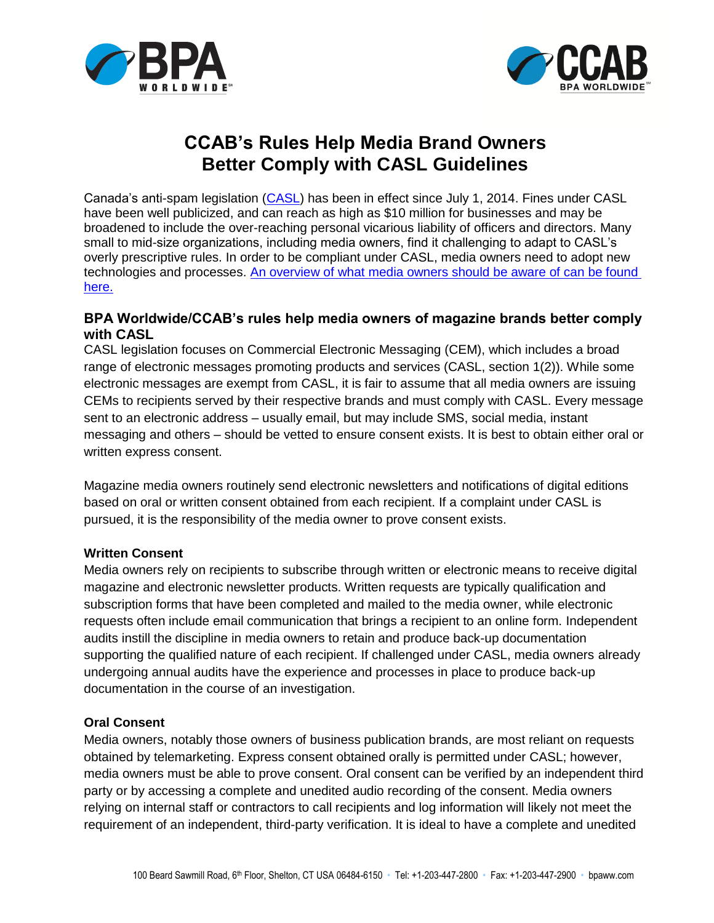



# **CCAB's Rules Help Media Brand Owners Better Comply with CASL Guidelines**

Canada's anti-spam legislation [\(CASL\)](http://laws-lois.justice.gc.ca/eng/acts/E-1.6/FullText.html) has been in effect since July 1, 2014. Fines under CASL have been well publicized, and can reach as high as \$10 million for businesses and may be broadened to include the over-reaching personal vicarious liability of officers and directors. Many small to mid-size organizations, including media owners, find it challenging to adapt to CASL's overly prescriptive rules. In order to be compliant under CASL, media owners need to adopt new technologies and processes. [An overview of what media owners should be aware of can be found](http://www.bpaww.com/Bpaww_com/HTML/CCAB/CASL/CANSPAM%20and%20CASL%20are%20not%20the%20same%20(2).pdf)  [here.](http://www.bpaww.com/Bpaww_com/HTML/CCAB/CASL/CANSPAM%20and%20CASL%20are%20not%20the%20same%20(2).pdf)

## **BPA Worldwide/CCAB's rules help media owners of magazine brands better comply with CASL**

CASL legislation focuses on Commercial Electronic Messaging (CEM), which includes a broad range of electronic messages promoting products and services (CASL, section 1(2)). While some electronic messages are exempt from CASL, it is fair to assume that all media owners are issuing CEMs to recipients served by their respective brands and must comply with CASL. Every message sent to an electronic address – usually email, but may include SMS, social media, instant messaging and others – should be vetted to ensure consent exists. It is best to obtain either oral or written express consent.

Magazine media owners routinely send electronic newsletters and notifications of digital editions based on oral or written consent obtained from each recipient. If a complaint under CASL is pursued, it is the responsibility of the media owner to prove consent exists.

### **Written Consent**

Media owners rely on recipients to subscribe through written or electronic means to receive digital magazine and electronic newsletter products. Written requests are typically qualification and subscription forms that have been completed and mailed to the media owner, while electronic requests often include email communication that brings a recipient to an online form. Independent audits instill the discipline in media owners to retain and produce back-up documentation supporting the qualified nature of each recipient. If challenged under CASL, media owners already undergoing annual audits have the experience and processes in place to produce back-up documentation in the course of an investigation.

### **Oral Consent**

Media owners, notably those owners of business publication brands, are most reliant on requests obtained by telemarketing. Express consent obtained orally is permitted under CASL; however, media owners must be able to prove consent. Oral consent can be verified by an independent third party or by accessing a complete and unedited audio recording of the consent. Media owners relying on internal staff or contractors to call recipients and log information will likely not meet the requirement of an independent, third-party verification. It is ideal to have a complete and unedited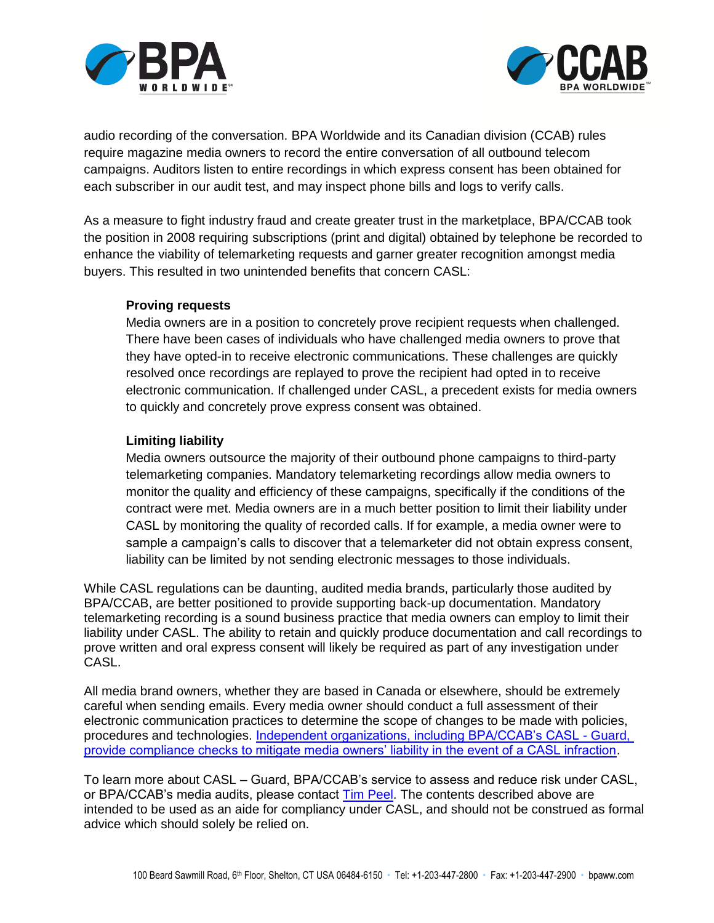



audio recording of the conversation. BPA Worldwide and its Canadian division (CCAB) rules require magazine media owners to record the entire conversation of all outbound telecom campaigns. Auditors listen to entire recordings in which express consent has been obtained for each subscriber in our audit test, and may inspect phone bills and logs to verify calls.

As a measure to fight industry fraud and create greater trust in the marketplace, BPA/CCAB took the position in 2008 requiring subscriptions (print and digital) obtained by telephone be recorded to enhance the viability of telemarketing requests and garner greater recognition amongst media buyers. This resulted in two unintended benefits that concern CASL:

#### **Proving requests**

Media owners are in a position to concretely prove recipient requests when challenged. There have been cases of individuals who have challenged media owners to prove that they have opted-in to receive electronic communications. These challenges are quickly resolved once recordings are replayed to prove the recipient had opted in to receive electronic communication. If challenged under CASL, a precedent exists for media owners to quickly and concretely prove express consent was obtained.

### **Limiting liability**

Media owners outsource the majority of their outbound phone campaigns to third-party telemarketing companies. Mandatory telemarketing recordings allow media owners to monitor the quality and efficiency of these campaigns, specifically if the conditions of the contract were met. Media owners are in a much better position to limit their liability under CASL by monitoring the quality of recorded calls. If for example, a media owner were to sample a campaign's calls to discover that a telemarketer did not obtain express consent, liability can be limited by not sending electronic messages to those individuals.

While CASL regulations can be daunting, audited media brands, particularly those audited by BPA/CCAB, are better positioned to provide supporting back-up documentation. Mandatory telemarketing recording is a sound business practice that media owners can employ to limit their liability under CASL. The ability to retain and quickly produce documentation and call recordings to prove written and oral express consent will likely be required as part of any investigation under CASL.

All media brand owners, whether they are based in Canada or elsewhere, should be extremely careful when sending emails. Every media owner should conduct a full assessment of their electronic communication practices to determine the scope of changes to be made with policies, procedures and technologies. [Independent organizations, including BPA/CCAB's CASL -](http://www.bpaww.com/Bpaww_com/HTML/about_bpa/industry_news/2014/CASL%20Compliance%20service%20launched%20by%20BPA%20Worldwide.pdf) Guard, [provide compliance checks to mitigate media owners' liability in the event of a CASL infraction.](http://www.bpaww.com/Bpaww_com/HTML/about_bpa/industry_news/2014/CASL%20Compliance%20service%20launched%20by%20BPA%20Worldwide.pdf)

To learn more about CASL – Guard, BPA/CCAB's service to assess and reduce risk under CASL, or BPA/CCAB's media audits, please contact [Tim Peel.](mailto:mpeel@bpaww.com?subject=CASL%20compliancy) The contents described above are intended to be used as an aide for compliancy under CASL, and should not be construed as formal advice which should solely be relied on.